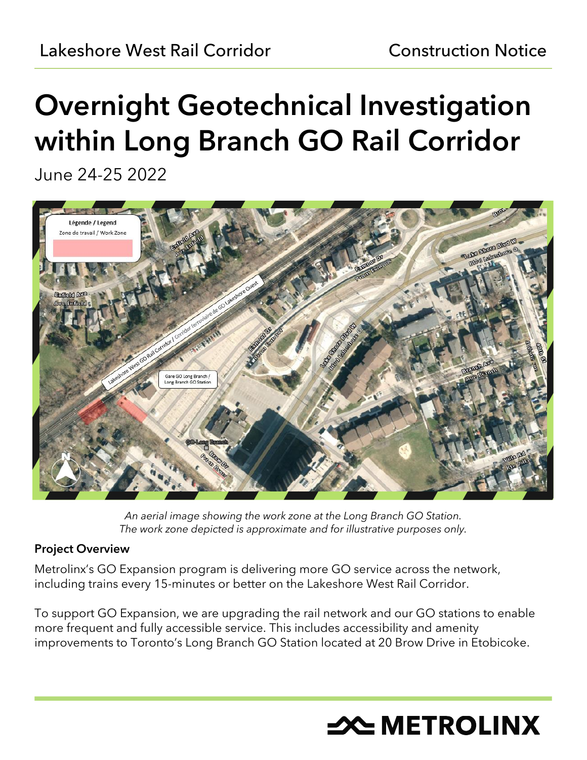# Overnight Geotechnical Investigation within Long Branch GO Rail Corridor

June 24-25 2022



*An aerial image showing the work zone at the Long Branch GO Station. The work zone depicted is approximate and for illustrative purposes only.*

## Project Overview

Metrolinx's GO Expansion program is delivering more GO service across the network, including trains every 15-minutes or better on the Lakeshore West Rail Corridor.

To support GO Expansion, we are upgrading the rail network and our GO stations to enable more frequent and fully accessible service. This includes accessibility and amenity improvements to Toronto's Long Branch GO Station located at 20 Brow Drive in Etobicoke.

# **X METROLINX**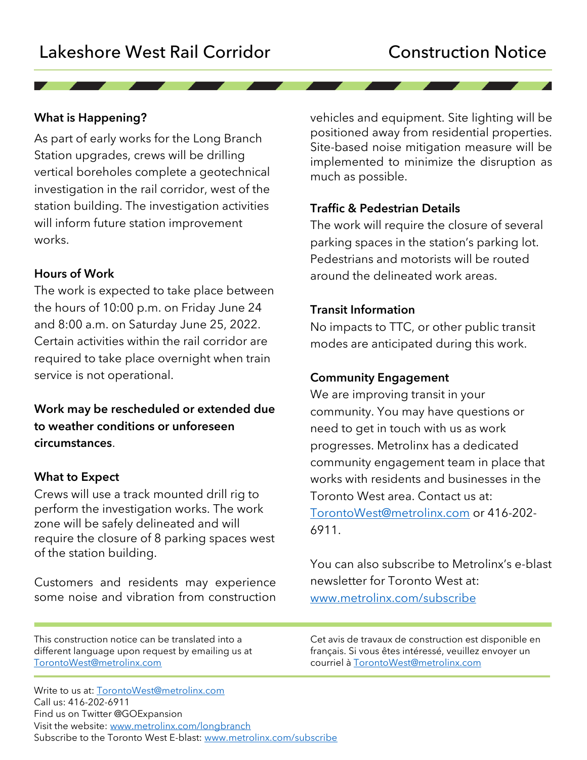### What is Happening?

As part of early works for the Long Branch Station upgrades, crews will be drilling vertical boreholes complete a geotechnical investigation in the rail corridor, west of the station building. The investigation activities will inform future station improvement works.

#### Hours of Work

The work is expected to take place between the hours of 10:00 p.m. on Friday June 24 and 8:00 a.m. on Saturday June 25, 2022. Certain activities within the rail corridor are required to take place overnight when train service is not operational.

Work may be rescheduled or extended due to weather conditions or unforeseen circumstances.

#### What to Expect

Crews will use a track mounted drill rig to perform the investigation works. The work zone will be safely delineated and will require the closure of 8 parking spaces west of the station building.

Customers and residents may experience some noise and vibration from construction

This construction notice can be translated into a different language upon request by emailing us at [TorontoWest@metrolinx.com](mailto:TorontoWest@metrolinx.com)

Write to us at: [TorontoWest@metrolinx.com](mailto:TorontoWest@metrolinx.com) Call us: 416-202-6911 Find us on Twitter @GOExpansion Visit the website: [www.metrolinx.com/longbranch](http://www.metrolinx.com/longbranch) Subscribe to the Toronto West E-blast: [www.metrolinx.com/subscribe](http://www.metrolinx.com/subscribe)

vehicles and equipment. Site lighting will be positioned away from residential properties. Site-based noise mitigation measure will be implemented to minimize the disruption as much as possible.

#### Traffic & Pedestrian Details

The work will require the closure of several parking spaces in the station's parking lot. Pedestrians and motorists will be routed around the delineated work areas.

#### Transit Information

No impacts to TTC, or other public transit modes are anticipated during this work.

#### Community Engagement

We are improving transit in your community. You may have questions or need to get in touch with us as work progresses. Metrolinx has a dedicated community engagement team in place that works with residents and businesses in the Toronto West area. Contact us at: [TorontoWest@metrolinx.com](mailto:TorontoWest@metrolinx.com) or 416-202- 6911.

You can also subscribe to Metrolinx's e-blast newsletter for Toronto West at: [www.metrolinx.com/subscribe](http://www.metrolinx.com/subscribe)

Cet avis de travaux de construction est disponible en français. Si vous êtes intéressé, veuillez envoyer un courriel à [TorontoWest@metrolinx.com](mailto:TorontoWest@metrolinx.com)